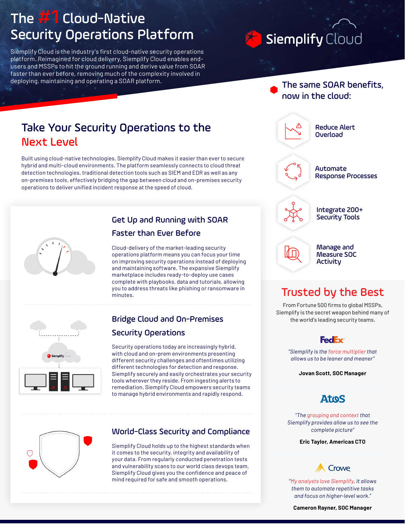# The  $#1$  Cloud-Native Security Operations Platform

Siemplify Cloud is the industry's first cloud-native security operations platform. Reimagined for cloud delivery, Siemplify Cloud enables endusers and MSSPs to hit the ground running and derive value from SOAR faster than ever before, removing much of the complexity involved in deploying, maintaining and operating a SOAR platform.

# Siemplify Cloud

#### The same SOAR benefits, now in the cloud:

# Take Your Security Operations to the Next Level

Built using cloud-native technologies, Siemplify Cloud makes it easier than ever to secure hybrid and multi-cloud environments. The platform seamlessly connects to cloud threat detection technologies, traditional detection tools such as SIEM and EDR as well as any on-premises tools, effectively bridging the gap between cloud and on-premises security operations to deliver unified incident response at the speed of cloud.



### Get Up and Running with SOAR Faster than Ever Before

Cloud-delivery of the market-leading security operations platform means you can focus your time on improving security operations instead of deploying and maintaining software. The expansive Siemplify marketplace includes ready-to-deploy use cases complete with playbooks, data and tutorials, allowing you to address threats like phishing or ransomware in minutes.



### Bridge Cloud and On-Premises Security Operations

Security operations today are increasingly hybrid, with cloud and on-prem environments presenting different security challenges and oftentimes utilizing different technologies for detection and response. Siemplify securely and easily orchestrates your security tools wherever they reside. From ingesting alerts to remediation, Siemplify Cloud empowers security teams to manage hybrid environments and rapidly respond.



#### World-Class Security and Compliance

Siemplify Cloud holds up to the highest standards when it comes to the security, integrity and availability of your data. From regularly conducted penetration tests and vulnerability scans to our world class devops team, Siemplify Cloud gives you the confidence and peace of mind required for safe and smooth operations.



#### Measure SOC **Activity**

# Trusted by the Best

From Fortune 500 firms to global MSSPs, Siemplify is the secret weapon behind many of the world's leading security teams.



*"Siemplify is the force multiplier that allows us to be leaner and meaner"*

**Jovan Scott, SOC Manager**

### **Atos**

*"The grouping and context that Siemplify provides allow us to see the complete picture"*

**Eric Taylor, Americas CTO**

# **Crowe**

*"My analysts love Siemplify. It allows them to automate repetitive tasks and focus on higher-level work."*

**Cameron Rayner, SOC Manager**